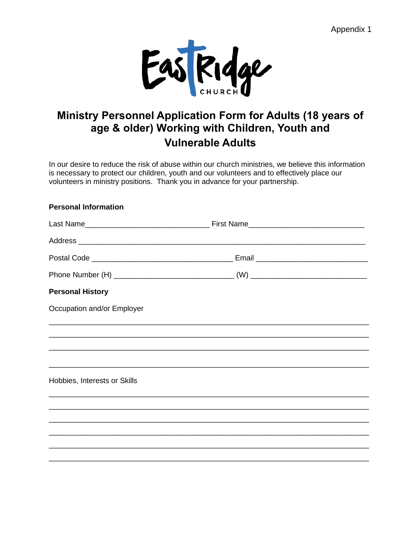Appendix 1



# **Ministry Personnel Application Form for Adults (18 years of age & older) Working with Children, Youth and Vulnerable Adults**

In our desire to reduce the risk of abuse within our church ministries, we believe this information is necessary to protect our children, youth and our volunteers and to effectively place our volunteers in ministry positions. Thank you in advance for your partnership.

### **Personal Information**

| <b>Personal History</b>      |  |
|------------------------------|--|
| Occupation and/or Employer   |  |
|                              |  |
|                              |  |
|                              |  |
| Hobbies, Interests or Skills |  |
|                              |  |
|                              |  |
|                              |  |
|                              |  |
|                              |  |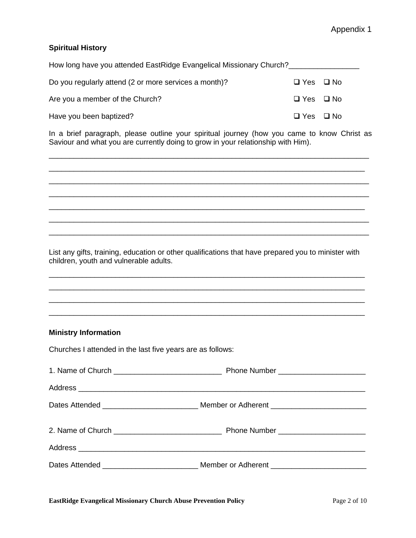## Appendix 1

### **Spiritual History**

| How long have you attended EastRidge Evangelical Missionary Church? |                      |  |
|---------------------------------------------------------------------|----------------------|--|
| Do you regularly attend (2 or more services a month)?               | $\Box$ Yes $\Box$ No |  |
| Are you a member of the Church?                                     | $\Box$ Yes $\Box$ No |  |
| Have you been baptized?                                             | $\Box$ Yes $\Box$ No |  |

In a brief paragraph, please outline your spiritual journey (how you came to know Christ as Saviour and what you are currently doing to grow in your relationship with Him).

\_\_\_\_\_\_\_\_\_\_\_\_\_\_\_\_\_\_\_\_\_\_\_\_\_\_\_\_\_\_\_\_\_\_\_\_\_\_\_\_\_\_\_\_\_\_\_\_\_\_\_\_\_\_\_\_\_\_\_\_\_\_\_\_\_\_\_\_\_\_\_\_\_\_\_\_\_ \_\_\_\_\_\_\_\_\_\_\_\_\_\_\_\_\_\_\_\_\_\_\_\_\_\_\_\_\_\_\_\_\_\_\_\_\_\_\_\_\_\_\_\_\_\_\_\_\_\_\_\_\_\_\_\_\_\_\_\_\_\_\_\_\_\_\_\_\_\_\_\_\_\_\_\_ \_\_\_\_\_\_\_\_\_\_\_\_\_\_\_\_\_\_\_\_\_\_\_\_\_\_\_\_\_\_\_\_\_\_\_\_\_\_\_\_\_\_\_\_\_\_\_\_\_\_\_\_\_\_\_\_\_\_\_\_\_\_\_\_\_\_\_\_\_\_\_\_\_\_\_\_\_ \_\_\_\_\_\_\_\_\_\_\_\_\_\_\_\_\_\_\_\_\_\_\_\_\_\_\_\_\_\_\_\_\_\_\_\_\_\_\_\_\_\_\_\_\_\_\_\_\_\_\_\_\_\_\_\_\_\_\_\_\_\_\_\_\_\_\_\_\_\_\_\_\_\_\_\_\_ \_\_\_\_\_\_\_\_\_\_\_\_\_\_\_\_\_\_\_\_\_\_\_\_\_\_\_\_\_\_\_\_\_\_\_\_\_\_\_\_\_\_\_\_\_\_\_\_\_\_\_\_\_\_\_\_\_\_\_\_\_\_\_\_\_\_\_\_\_\_\_\_\_\_\_\_ \_\_\_\_\_\_\_\_\_\_\_\_\_\_\_\_\_\_\_\_\_\_\_\_\_\_\_\_\_\_\_\_\_\_\_\_\_\_\_\_\_\_\_\_\_\_\_\_\_\_\_\_\_\_\_\_\_\_\_\_\_\_\_\_\_\_\_\_\_\_\_\_\_\_\_\_\_ \_\_\_\_\_\_\_\_\_\_\_\_\_\_\_\_\_\_\_\_\_\_\_\_\_\_\_\_\_\_\_\_\_\_\_\_\_\_\_\_\_\_\_\_\_\_\_\_\_\_\_\_\_\_\_\_\_\_\_\_\_\_\_\_\_\_\_\_\_\_\_\_\_\_\_\_\_

List any gifts, training, education or other qualifications that have prepared you to minister with children, youth and vulnerable adults.

\_\_\_\_\_\_\_\_\_\_\_\_\_\_\_\_\_\_\_\_\_\_\_\_\_\_\_\_\_\_\_\_\_\_\_\_\_\_\_\_\_\_\_\_\_\_\_\_\_\_\_\_\_\_\_\_\_\_\_\_\_\_\_\_\_\_\_\_\_\_\_\_\_\_\_\_ \_\_\_\_\_\_\_\_\_\_\_\_\_\_\_\_\_\_\_\_\_\_\_\_\_\_\_\_\_\_\_\_\_\_\_\_\_\_\_\_\_\_\_\_\_\_\_\_\_\_\_\_\_\_\_\_\_\_\_\_\_\_\_\_\_\_\_\_\_\_\_\_\_\_\_\_ \_\_\_\_\_\_\_\_\_\_\_\_\_\_\_\_\_\_\_\_\_\_\_\_\_\_\_\_\_\_\_\_\_\_\_\_\_\_\_\_\_\_\_\_\_\_\_\_\_\_\_\_\_\_\_\_\_\_\_\_\_\_\_\_\_\_\_\_\_\_\_\_\_\_\_\_ \_\_\_\_\_\_\_\_\_\_\_\_\_\_\_\_\_\_\_\_\_\_\_\_\_\_\_\_\_\_\_\_\_\_\_\_\_\_\_\_\_\_\_\_\_\_\_\_\_\_\_\_\_\_\_\_\_\_\_\_\_\_\_\_\_\_\_\_\_\_\_\_\_\_\_\_

### **Ministry Information**

Churches I attended in the last five years are as follows: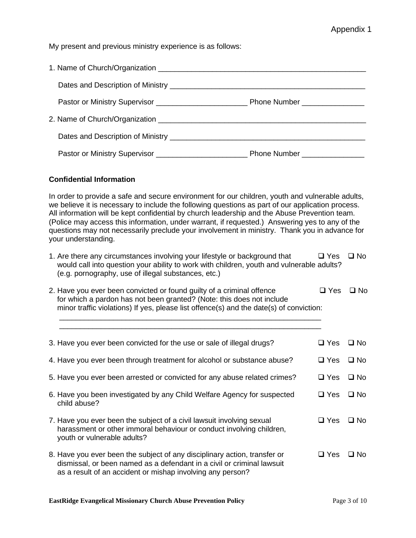My present and previous ministry experience is as follows:

| Dates and Description of Ministry <b>contain and all and all and all and all and all and all and all and all and a</b> |
|------------------------------------------------------------------------------------------------------------------------|
|                                                                                                                        |
| 2. Name of Church/Organization                                                                                         |
|                                                                                                                        |
|                                                                                                                        |

#### **Confidential Information**

In order to provide a safe and secure environment for our children, youth and vulnerable adults, we believe it is necessary to include the following questions as part of our application process. All information will be kept confidential by church leadership and the Abuse Prevention team. (Police may access this information, under warrant, if requested.) Answering yes to any of the questions may not necessarily preclude your involvement in ministry. Thank you in advance for your understanding.

| 1. Are there any circumstances involving your lifestyle or background that                | $\Box$ Yes $\Box$ No |  |
|-------------------------------------------------------------------------------------------|----------------------|--|
| would call into question your ability to work with children, youth and vulnerable adults? |                      |  |
| (e.g. pornography, use of illegal substances, etc.)                                       |                      |  |

| 2. Have you ever been convicted or found guilty of a criminal offence                   | □ Yes □ No |  |
|-----------------------------------------------------------------------------------------|------------|--|
| for which a pardon has not been granted? (Note: this does not include                   |            |  |
| minor traffic violations) If yes, please list offence(s) and the date(s) of conviction: |            |  |

 \_\_\_\_\_\_\_\_\_\_\_\_\_\_\_\_\_\_\_\_\_\_\_\_\_\_\_\_\_\_\_\_\_\_\_\_\_\_\_\_\_\_\_\_\_\_\_\_\_\_\_\_\_\_\_\_\_\_\_\_\_\_\_ \_\_\_\_\_\_\_\_\_\_\_\_\_\_\_\_\_\_\_\_\_\_\_\_\_\_\_\_\_\_\_\_\_\_\_\_\_\_\_\_\_\_\_\_\_\_\_\_\_\_\_\_\_\_\_\_\_\_\_\_\_\_\_

| 3. Have you ever been convicted for the use or sale of illegal drugs?                                                                                                                                             | $\Box$ Yes | $\square$ No |
|-------------------------------------------------------------------------------------------------------------------------------------------------------------------------------------------------------------------|------------|--------------|
| 4. Have you ever been through treatment for alcohol or substance abuse?                                                                                                                                           | $\Box$ Yes | $\square$ No |
| 5. Have you ever been arrested or convicted for any abuse related crimes?                                                                                                                                         | $\Box$ Yes | $\square$ No |
| 6. Have you been investigated by any Child Welfare Agency for suspected<br>child abuse?                                                                                                                           | $\Box$ Yes | $\square$ No |
| 7. Have you ever been the subject of a civil lawsuit involving sexual<br>harassment or other immoral behaviour or conduct involving children,<br>youth or vulnerable adults?                                      | $\Box$ Yes | $\Box$ No    |
| 8. Have you ever been the subject of any disciplinary action, transfer or<br>dismissal, or been named as a defendant in a civil or criminal lawsuit<br>as a result of an accident or mishap involving any person? | $\Box$ Yes | $\square$ No |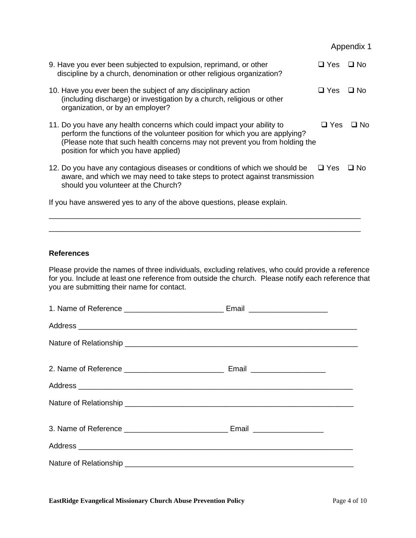|                                                                                                                                                                                                                                                                              |            | Appendix 1   |
|------------------------------------------------------------------------------------------------------------------------------------------------------------------------------------------------------------------------------------------------------------------------------|------------|--------------|
| 9. Have you ever been subjected to expulsion, reprimand, or other<br>discipline by a church, denomination or other religious organization?                                                                                                                                   | $\Box$ Yes | $\Box$ No    |
| 10. Have you ever been the subject of any disciplinary action<br>(including discharge) or investigation by a church, religious or other<br>organization, or by an employer?                                                                                                  | $\Box$ Yes | $\square$ No |
| 11. Do you have any health concerns which could impact your ability to<br>perform the functions of the volunteer position for which you are applying?<br>(Please note that such health concerns may not prevent you from holding the<br>position for which you have applied) | $\Box$ Yes | ⊟ No         |
| 12. Do you have any contagious diseases or conditions of which we should be<br>aware, and which we may need to take steps to protect against transmission<br>should you volunteer at the Church?                                                                             | $\Box$ Yes | ⊔ No         |
| If you have answered yes to any of the above questions, please explain.                                                                                                                                                                                                      |            |              |

### **References**

Please provide the names of three individuals, excluding relatives, who could provide a reference for you. Include at least one reference from outside the church. Please notify each reference that you are submitting their name for contact.

\_\_\_\_\_\_\_\_\_\_\_\_\_\_\_\_\_\_\_\_\_\_\_\_\_\_\_\_\_\_\_\_\_\_\_\_\_\_\_\_\_\_\_\_\_\_\_\_\_\_\_\_\_\_\_\_\_\_\_\_\_\_\_\_\_\_\_\_\_\_\_\_\_\_\_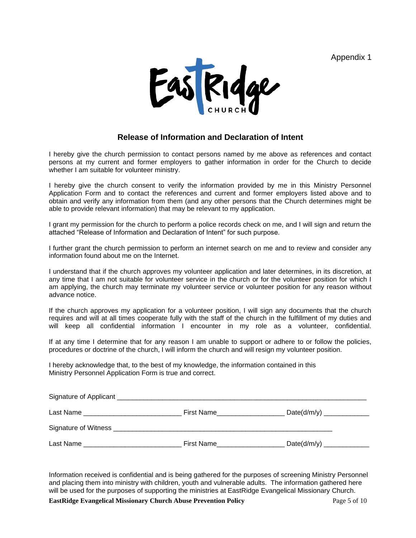Appendix 1



### **Release of Information and Declaration of Intent**

I hereby give the church permission to contact persons named by me above as references and contact persons at my current and former employers to gather information in order for the Church to decide whether I am suitable for volunteer ministry.

I hereby give the church consent to verify the information provided by me in this Ministry Personnel Application Form and to contact the references and current and former employers listed above and to obtain and verify any information from them (and any other persons that the Church determines might be able to provide relevant information) that may be relevant to my application.

I grant my permission for the church to perform a police records check on me, and I will sign and return the attached "Release of Information and Declaration of Intent" for such purpose.

I further grant the church permission to perform an internet search on me and to review and consider any information found about me on the Internet.

I understand that if the church approves my volunteer application and later determines, in its discretion, at any time that I am not suitable for volunteer service in the church or for the volunteer position for which I am applying, the church may terminate my volunteer service or volunteer position for any reason without advance notice.

If the church approves my application for a volunteer position, I will sign any documents that the church requires and will at all times cooperate fully with the staff of the church in the fulfillment of my duties and will keep all confidential information I encounter in my role as a volunteer, confidential.

If at any time I determine that for any reason I am unable to support or adhere to or follow the policies, procedures or doctrine of the church, I will inform the church and will resign my volunteer position.

I hereby acknowledge that, to the best of my knowledge, the information contained in this Ministry Personnel Application Form is true and correct.

| Last Name | First Name |             |  |
|-----------|------------|-------------|--|
|           |            |             |  |
| Last Name | First Name | Date(d/m/y) |  |

Information received is confidential and is being gathered for the purposes of screening Ministry Personnel and placing them into ministry with children, youth and vulnerable adults. The information gathered here will be used for the purposes of supporting the ministries at EastRidge Evangelical Missionary Church.

**EastRidge Evangelical Missionary Church Abuse Prevention Policy Page 5 of 10 Page 5 of 10 Page 5 of 10 Page 5 of 10**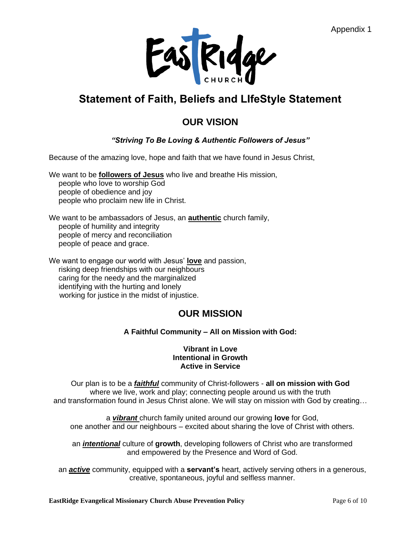

# **Statement of Faith, Beliefs and LIfeStyle Statement**

# **OUR VISION**

# *"Striving To Be Loving & Authentic Followers of Jesus"*

Because of the amazing love, hope and faith that we have found in Jesus Christ,

We want to be **followers of Jesus** who live and breathe His mission,

people who love to worship God people of obedience and joy people who proclaim new life in Christ.

We want to be ambassadors of Jesus, an **authentic** church family, people of humility and integrity people of mercy and reconciliation people of peace and grace.

We want to engage our world with Jesus' **love** and passion, risking deep friendships with our neighbours caring for the needy and the marginalized identifying with the hurting and lonely working for justice in the midst of injustice.

# **OUR MISSION**

## **A Faithful Community – All on Mission with God:**

### **Vibrant in Love Intentional in Growth Active in Service**

Our plan is to be a *faithful* community of Christ-followers - **all on mission with God** where we live, work and play; connecting people around us with the truth and transformation found in Jesus Christ alone. We will stay on mission with God by creating…

a *vibrant* church family united around our growing **love** for God, one another and our neighbours – excited about sharing the love of Christ with others.

an *intentional* culture of **growth**, developing followers of Christ who are transformed and empowered by the Presence and Word of God.

an *active* community, equipped with a **servant's** heart, actively serving others in a generous, creative, spontaneous, joyful and selfless manner.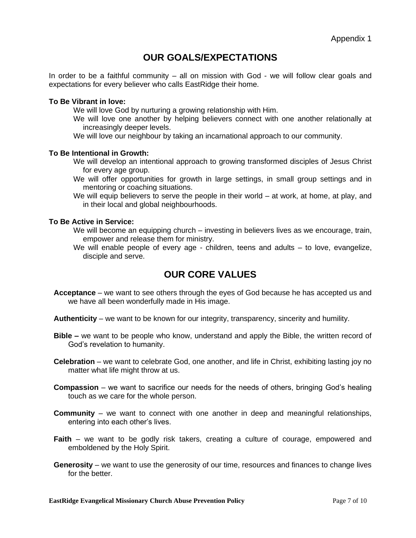# **OUR GOALS/EXPECTATIONS**

In order to be a faithful community – all on mission with God - we will follow clear goals and expectations for every believer who calls EastRidge their home.

#### **To Be Vibrant in love:**

We will love God by nurturing a growing relationship with Him.

We will love one another by helping believers connect with one another relationally at increasingly deeper levels.

We will love our neighbour by taking an incarnational approach to our community.

#### **To Be Intentional in Growth:**

We will develop an intentional approach to growing transformed disciples of Jesus Christ for every age group.

We will offer opportunities for growth in large settings, in small group settings and in mentoring or coaching situations.

We will equip believers to serve the people in their world – at work, at home, at play, and in their local and global neighbourhoods.

### **To Be Active in Service:**

We will become an equipping church – investing in believers lives as we encourage, train, empower and release them for ministry.

We will enable people of every age - children, teens and adults – to love, evangelize, disciple and serve.

# **OUR CORE VALUES**

- **Acceptance** we want to see others through the eyes of God because he has accepted us and we have all been wonderfully made in His image.
- **Authenticity**  we want to be known for our integrity, transparency, sincerity and humility.
- **Bible –** we want to be people who know, understand and apply the Bible, the written record of God's revelation to humanity.
- **Celebration**  we want to celebrate God, one another, and life in Christ, exhibiting lasting joy no matter what life might throw at us.
- **Compassion**  we want to sacrifice our needs for the needs of others, bringing God's healing touch as we care for the whole person.
- **Community**  we want to connect with one another in deep and meaningful relationships, entering into each other's lives.
- **Faith**  we want to be godly risk takers, creating a culture of courage, empowered and emboldened by the Holy Spirit.
- **Generosity**  we want to use the generosity of our time, resources and finances to change lives for the better.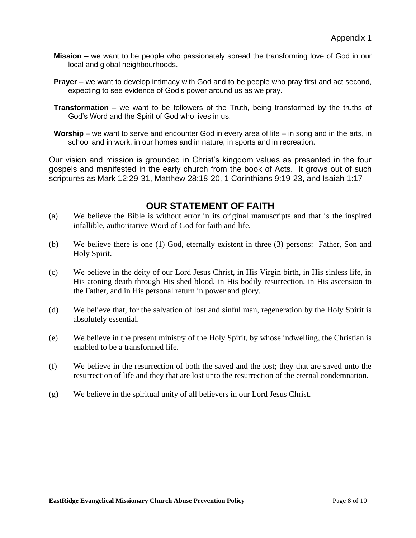- **Mission –** we want to be people who passionately spread the transforming love of God in our local and global neighbourhoods.
- **Prayer**  we want to develop intimacy with God and to be people who pray first and act second, expecting to see evidence of God's power around us as we pray.
- **Transformation** we want to be followers of the Truth, being transformed by the truths of God's Word and the Spirit of God who lives in us.
- **Worship**  we want to serve and encounter God in every area of life in song and in the arts, in school and in work, in our homes and in nature, in sports and in recreation.

Our vision and mission is grounded in Christ's kingdom values as presented in the four gospels and manifested in the early church from the book of Acts. It grows out of such scriptures as Mark 12:29-31, Matthew 28:18-20, 1 Corinthians 9:19-23, and Isaiah 1:17

# **OUR STATEMENT OF FAITH**

- (a) We believe the Bible is without error in its original manuscripts and that is the inspired infallible, authoritative Word of God for faith and life.
- (b) We believe there is one (1) God, eternally existent in three (3) persons: Father, Son and Holy Spirit.
- (c) We believe in the deity of our Lord Jesus Christ, in His Virgin birth, in His sinless life, in His atoning death through His shed blood, in His bodily resurrection, in His ascension to the Father, and in His personal return in power and glory.
- (d) We believe that, for the salvation of lost and sinful man, regeneration by the Holy Spirit is absolutely essential.
- (e) We believe in the present ministry of the Holy Spirit, by whose indwelling, the Christian is enabled to be a transformed life.
- (f) We believe in the resurrection of both the saved and the lost; they that are saved unto the resurrection of life and they that are lost unto the resurrection of the eternal condemnation.
- (g) We believe in the spiritual unity of all believers in our Lord Jesus Christ.